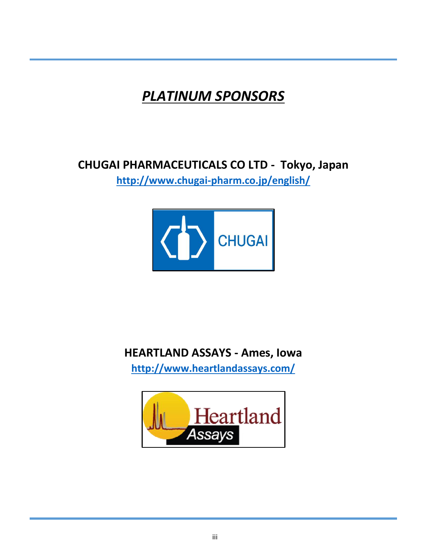# *PLATINUM SPONSORS*

#### **CHUGAI PHARMACEUTICALS CO LTD - Tokyo, Japan**

**<http://www.chugai-pharm.co.jp/english/>**



#### **HEARTLAND ASSAYS - Ames, Iowa**

**<http://www.heartlandassays.com/>**

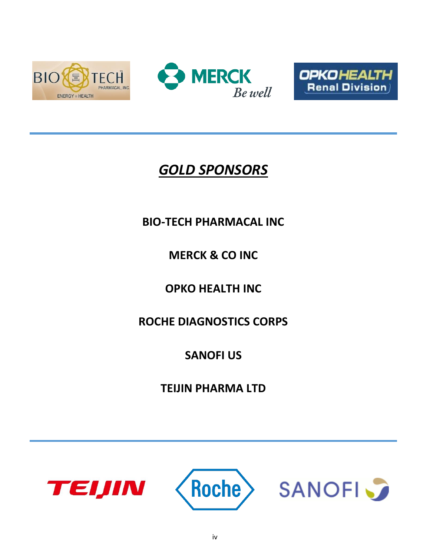





## *GOLD SPONSORS*

#### **BIO-TECH PHARMACAL INC**

### **MERCK & CO INC**

### **OPKO HEALTH INC**

### **ROCHE DIAGNOSTICS CORPS**

### **SANOFI US**

#### **TEIJIN PHARMA LTD**